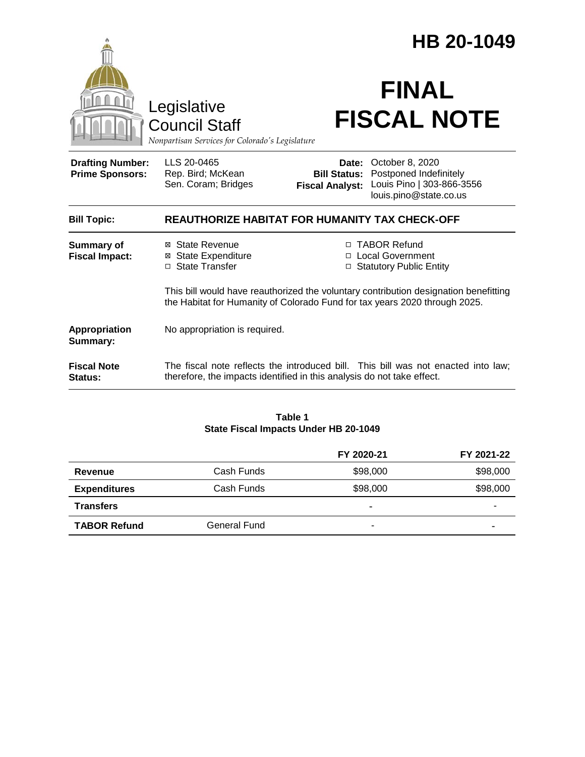| Legislative<br><b>Council Staff</b><br>Nonpartisan Services for Colorado's Legislature |                                                                            | HB 20-1049<br><b>FINAL</b><br><b>FISCAL NOTE</b>                                                                                                                                   |  |  |
|----------------------------------------------------------------------------------------|----------------------------------------------------------------------------|------------------------------------------------------------------------------------------------------------------------------------------------------------------------------------|--|--|
| <b>Drafting Number:</b><br><b>Prime Sponsors:</b>                                      | LLS 20-0465<br>Rep. Bird; McKean<br>Sen. Coram; Bridges                    | October 8, 2020<br>Date:<br>Postponed Indefinitely<br><b>Bill Status:</b><br>Louis Pino   303-866-3556<br><b>Fiscal Analyst:</b><br>louis.pino@state.co.us                         |  |  |
| <b>Bill Topic:</b>                                                                     | <b>REAUTHORIZE HABITAT FOR HUMANITY TAX CHECK-OFF</b>                      |                                                                                                                                                                                    |  |  |
| <b>Summary of</b><br><b>Fiscal Impact:</b>                                             | ⊠ State Revenue<br><b>State Expenditure</b><br>⊠<br>State Transfer<br>П.   | □ TABOR Refund<br><b>Local Government</b><br>$\Box$<br><b>Statutory Public Entity</b><br>□<br>This bill would have reauthorized the voluntary contribution designation benefitting |  |  |
|                                                                                        | the Habitat for Humanity of Colorado Fund for tax years 2020 through 2025. |                                                                                                                                                                                    |  |  |
| Appropriation<br>Summary:                                                              | No appropriation is required.                                              |                                                                                                                                                                                    |  |  |
| <b>Fiscal Note</b><br>Status:                                                          |                                                                            | The fiscal note reflects the introduced bill. This bill was not enacted into law;<br>therefore, the impacts identified in this analysis do not take effect.                        |  |  |

#### **Table 1 State Fiscal Impacts Under HB 20-1049**

|                     |              | FY 2020-21 | FY 2021-22 |
|---------------------|--------------|------------|------------|
| Revenue             | Cash Funds   | \$98,000   | \$98,000   |
| <b>Expenditures</b> | Cash Funds   | \$98,000   | \$98,000   |
| <b>Transfers</b>    |              | $\,$       |            |
| <b>TABOR Refund</b> | General Fund |            |            |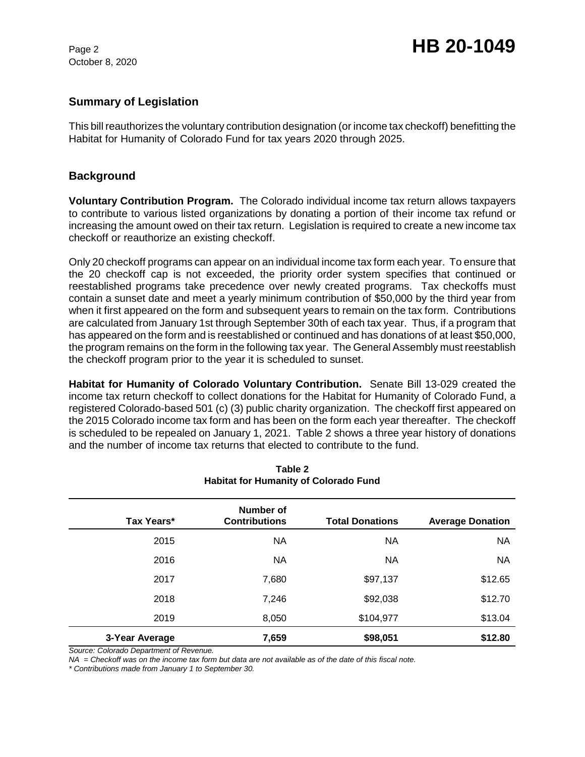October 8, 2020

## **Summary of Legislation**

This bill reauthorizes the voluntary contribution designation (or income tax checkoff) benefitting the Habitat for Humanity of Colorado Fund for tax years 2020 through 2025.

## **Background**

**Voluntary Contribution Program.** The Colorado individual income tax return allows taxpayers to contribute to various listed organizations by donating a portion of their income tax refund or increasing the amount owed on their tax return. Legislation is required to create a new income tax checkoff or reauthorize an existing checkoff.

Only 20 checkoff programs can appear on an individual income tax form each year. To ensure that the 20 checkoff cap is not exceeded, the priority order system specifies that continued or reestablished programs take precedence over newly created programs. Tax checkoffs must contain a sunset date and meet a yearly minimum contribution of \$50,000 by the third year from when it first appeared on the form and subsequent years to remain on the tax form. Contributions are calculated from January 1st through September 30th of each tax year. Thus, if a program that has appeared on the form and is reestablished or continued and has donations of at least \$50,000, the program remains on the form in the following tax year. The General Assembly must reestablish the checkoff program prior to the year it is scheduled to sunset.

**Habitat for Humanity of Colorado Voluntary Contribution.** Senate Bill 13-029 created the income tax return checkoff to collect donations for the Habitat for Humanity of Colorado Fund, a registered Colorado-based 501 (c) (3) public charity organization. The checkoff first appeared on the 2015 Colorado income tax form and has been on the form each year thereafter. The checkoff is scheduled to be repealed on January 1, 2021.Table 2 shows a three year history of donations and the number of income tax returns that elected to contribute to the fund.

|                | Number of            |                        |                         |
|----------------|----------------------|------------------------|-------------------------|
| Tax Years*     | <b>Contributions</b> | <b>Total Donations</b> | <b>Average Donation</b> |
| 2015           | <b>NA</b>            | NA                     | <b>NA</b>               |
| 2016           | <b>NA</b>            | ΝA                     | NA.                     |
| 2017           | 7,680                | \$97,137               | \$12.65                 |
| 2018           | 7,246                | \$92,038               | \$12.70                 |
| 2019           | 8,050                | \$104,977              | \$13.04                 |
| 3-Year Average | 7,659                | \$98,051               | \$12.80                 |

**Table 2 Habitat for Humanity of Colorado Fund**

*Source: Colorado Department of Revenue.*

*NA = Checkoff was on the income tax form but data are not available as of the date of this fiscal note.*

*\* Contributions made from January 1 to September 30.*